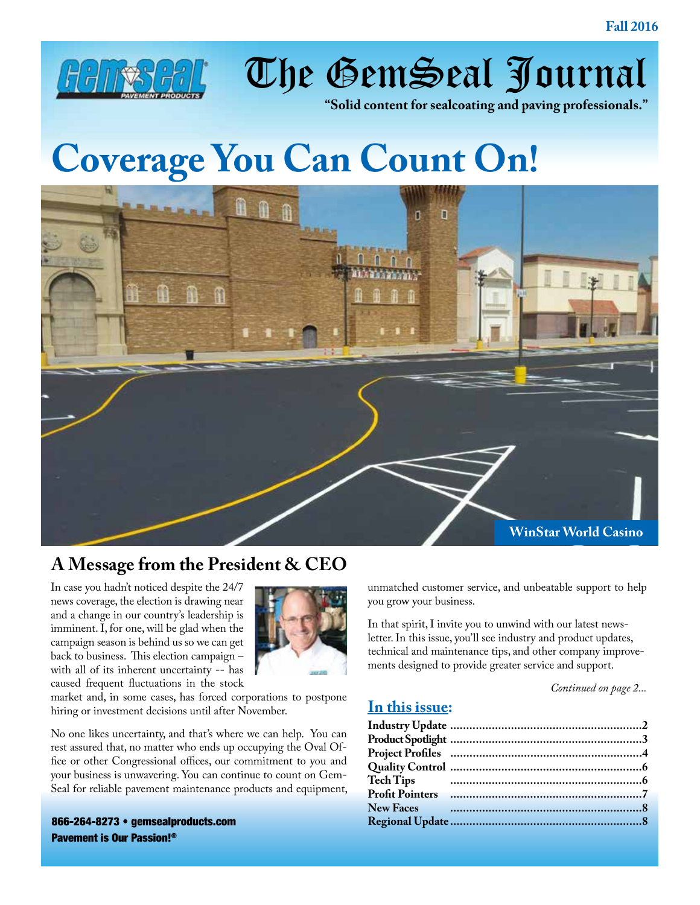

The GemSeal Journal

**"Solid content for sealcoating and paving professionals."**

# **Coverage You Can Count On!**



### **A Message from the President & CEO**

In case you hadn't noticed despite the 24/7 news coverage, the election is drawing near and a change in our country's leadership is imminent. I, for one, will be glad when the campaign season is behind us so we can get back to business. This election campaign – with all of its inherent uncertainty -- has caused frequent fluctuations in the stock



market and, in some cases, has forced corporations to postpone hiring or investment decisions until after November.

No one likes uncertainty, and that's where we can help. You can rest assured that, no matter who ends up occupying the Oval Office or other Congressional offices, our commitment to you and your business is unwavering. You can continue to count on Gem-Seal for reliable pavement maintenance products and equipment,

866-264-8273 [• gemsealproducts.com](http://www.gemsealproducts.com) Pavement is Our Passion!®

unmatched customer service, and unbeatable support to help you grow your business.

In that spirit, I invite you to unwind with our latest newsletter. In this issue, you'll see industry and product updates, technical and maintenance tips, and other company improvements designed to provide greater service and support.

*Continued on page 2...*

#### **In this issue:**

| <b>Tech Tips</b> |  |
|------------------|--|
|                  |  |
|                  |  |
|                  |  |
|                  |  |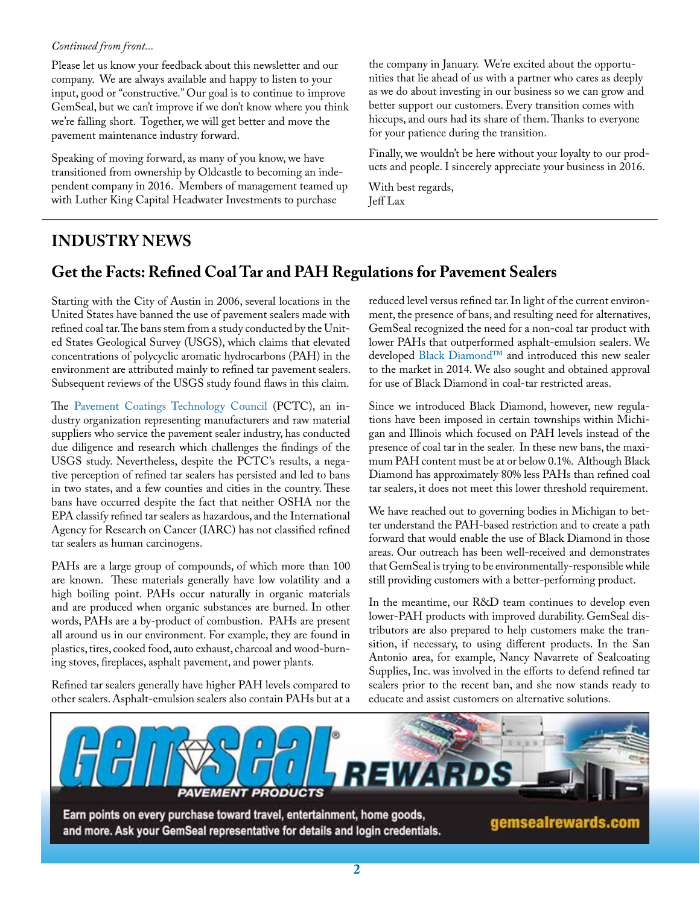#### *Continued from front...*

Please let us know your feedback about this newsletter and our company. We are always available and happy to listen to your input, good or "constructive." Our goal is to continue to improve GemSeal, but we can't improve if we don't know where you think we're falling short. Together, we will get better and move the pavement maintenance industry forward.

Speaking of moving forward, as many of you know, we have transitioned from ownership by Oldcastle to becoming an independent company in 2016. Members of management teamed up with Luther King Capital Headwater Investments to purchase

the company in January. We're excited about the opportunities that lie ahead of us with a partner who cares as deeply as we do about investing in our business so we can grow and better support our customers. Every transition comes with hiccups, and ours had its share of them. Thanks to everyone for your patience during the transition.

Finally, we wouldn't be here without your loyalty to our products and people. I sincerely appreciate your business in 2016.

With best regards, Jeff Lax

### **INDUSTRY NEWS**

### **Get the Facts: Refined Coal Tar and PAH Regulations for Pavement Sealers**

Starting with the City of Austin in 2006, several locations in the United States have banned the use of pavement sealers made with refined coal tar. The bans stem from a study conducted by the United States Geological Survey (USGS), which claims that elevated concentrations of polycyclic aromatic hydrocarbons (PAH) in the environment are attributed mainly to refined tar pavement sealers. Subsequent reviews of the USGS study found flaws in this claim.

The [Pavement Coatings Technology Council](http://www.pavementcouncil.org/) (PCTC), an industry organization representing manufacturers and raw material suppliers who service the pavement sealer industry, has conducted due diligence and research which challenges the findings of the USGS study. Nevertheless, despite the PCTC's results, a negative perception of refined tar sealers has persisted and led to bans in two states, and a few counties and cities in the country. These bans have occurred despite the fact that neither OSHA nor the EPA classify refined tar sealers as hazardous, and the International Agency for Research on Cancer (IARC) has not classified refined tar sealers as human carcinogens.

PAHs are a large group of compounds, of which more than 100 are known. These materials generally have low volatility and a high boiling point. PAHs occur naturally in organic materials and are produced when organic substances are burned. In other words, PAHs are a by-product of combustion. PAHs are present all around us in our environment. For example, they are found in plastics, tires, cooked food, auto exhaust, charcoal and wood-burning stoves, fireplaces, asphalt pavement, and power plants.

Refined tar sealers generally have higher PAH levels compared to other sealers. Asphalt-emulsion sealers also contain PAHs but at a reduced level versus refined tar. In light of the current environment, the presence of bans, and resulting need for alternatives, GemSeal recognized the need for a non-coal tar product with lower PAHs that outperformed asphalt-emulsion sealers. We developed [Black Diamond™](https://www.gemsealproducts.com/products/black-diamond/) and introduced this new sealer to the market in 2014. We also sought and obtained approval for use of Black Diamond in coal-tar restricted areas.

Since we introduced Black Diamond, however, new regulations have been imposed in certain townships within Michigan and Illinois which focused on PAH levels instead of the presence of coal tar in the sealer. In these new bans, the maximum PAH content must be at or below 0.1%. Although Black Diamond has approximately 80% less PAHs than refined coal tar sealers, it does not meet this lower threshold requirement.

We have reached out to governing bodies in Michigan to better understand the PAH-based restriction and to create a path forward that would enable the use of Black Diamond in those areas. Our outreach has been well-received and demonstrates that GemSeal is trying to be environmentally-responsible while still providing customers with a better-performing product.

In the meantime, our R&D team continues to develop even lower-PAH products with improved durability. GemSeal distributors are also prepared to help customers make the transition, if necessary, to using different products. In the San Antonio area, for example, Nancy Navarrete of Sealcoating Supplies, Inc. was involved in the efforts to defend refined tar sealers prior to the recent ban, and she now stands ready to educate and assist customers on alternative solutions.

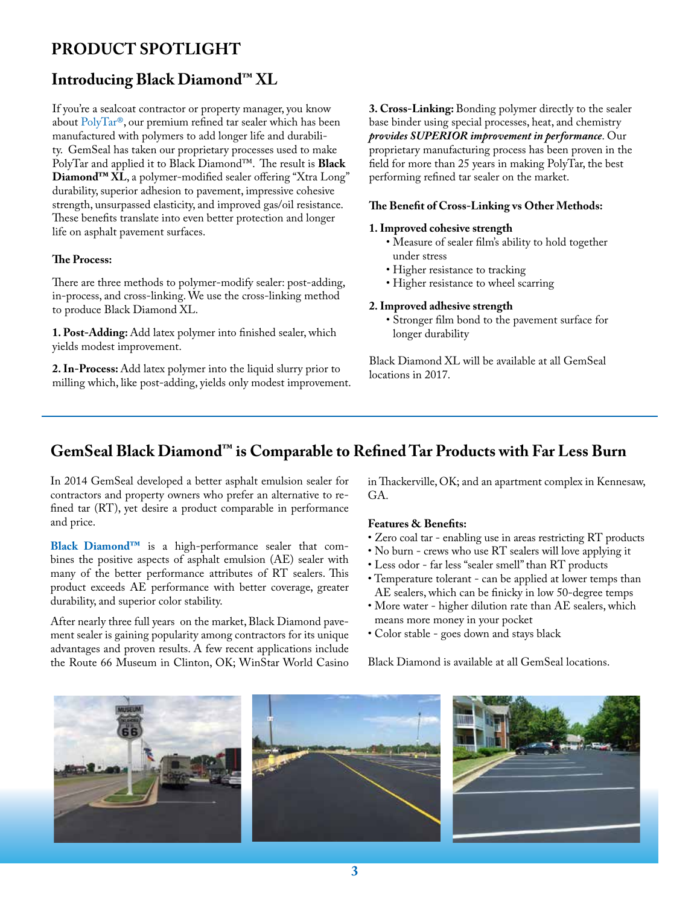### **PRODUCT SPOTLIGHT**

#### **Introducing Black Diamond™ XL**

If you're a sealcoat contractor or property manager, you know about [PolyTar®](https://www.gemsealproducts.com/products/polytar/), our premium refined tar sealer which has been manufactured with polymers to add longer life and durability. GemSeal has taken our proprietary processes used to make PolyTar and applied it to Black Diamond™. The result is **Black Diamond™ XL**, a polymer-modified sealer offering "Xtra Long" durability, superior adhesion to pavement, impressive cohesive strength, unsurpassed elasticity, and improved gas/oil resistance. These benefits translate into even better protection and longer life on asphalt pavement surfaces.

#### **The Process:**

There are three methods to polymer-modify sealer: post-adding, in-process, and cross-linking. We use the cross-linking method to produce Black Diamond XL.

**1. Post-Adding:** Add latex polymer into finished sealer, which yields modest improvement.

**2. In-Process:** Add latex polymer into the liquid slurry prior to milling which, like post-adding, yields only modest improvement. **3. Cross-Linking:** Bonding polymer directly to the sealer base binder using special processes, heat, and chemistry *provides SUPERIOR improvement in performance*. Our proprietary manufacturing process has been proven in the field for more than 25 years in making PolyTar, the best performing refined tar sealer on the market.

#### **The Benefit of Cross-Linking vs Other Methods:**

#### **1. Improved cohesive strength**

- Measure of sealer film's ability to hold together under stress
- Higher resistance to tracking
- Higher resistance to wheel scarring

#### **2. Improved adhesive strength**

• Stronger film bond to the pavement surface for longer durability

Black Diamond XL will be available at all GemSeal locations in 2017.

#### **GemSeal Black Diamond™ is Comparable to Refined Tar Products with Far Less Burn**

In 2014 GemSeal developed a better asphalt emulsion sealer for contractors and property owners who prefer an alternative to refined tar (RT), yet desire a product comparable in performance and price.

**[Black Diamond™](https://www.gemsealproducts.com/products/black-diamond/)** is a high-performance sealer that combines the positive aspects of asphalt emulsion (AE) sealer with many of the better performance attributes of RT sealers. This product exceeds AE performance with better coverage, greater durability, and superior color stability.

After nearly three full years on the market, Black Diamond pavement sealer is gaining popularity among contractors for its unique advantages and proven results. A few recent applications include the Route 66 Museum in Clinton, OK; WinStar World Casino in Thackerville, OK; and an apartment complex in Kennesaw,  $G_A$ 

#### **Features & Benefits:**

- Zero coal tar enabling use in areas restricting RT products
- No burn crews who use RT sealers will love applying it
- Less odor far less "sealer smell" than RT products
- Temperature tolerant can be applied at lower temps than AE sealers, which can be finicky in low 50-degree temps
- More water higher dilution rate than AE sealers, which means more money in your pocket
- Color stable goes down and stays black

Black Diamond is available at all GemSeal locations.

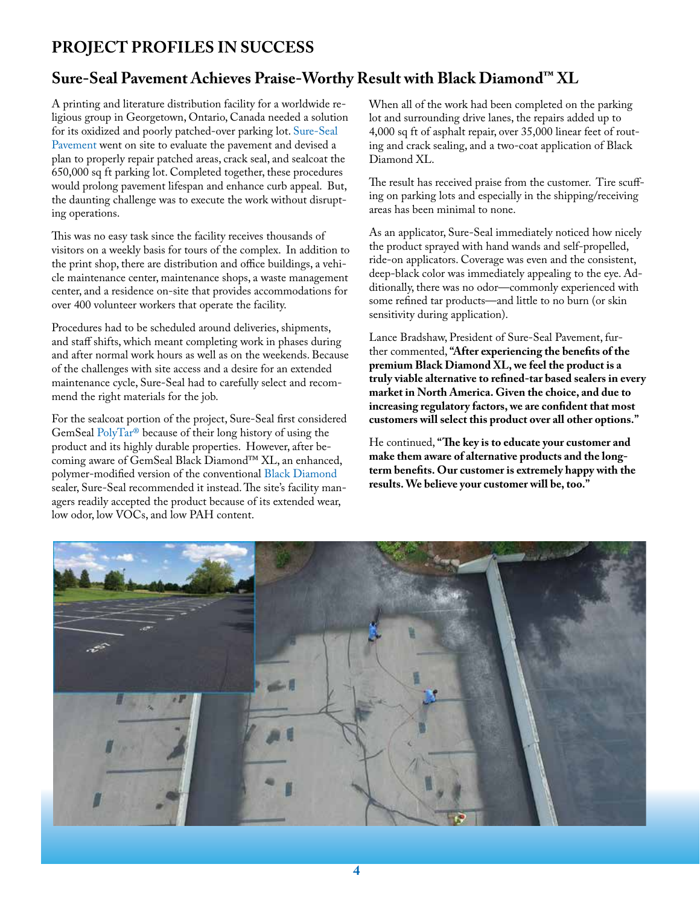### **PROJECT PROFILES IN SUCCESS**

#### **Sure-Seal Pavement Achieves Praise-Worthy Result with Black Diamond™ XL**

A printing and literature distribution facility for a worldwide religious group in Georgetown, Ontario, Canada needed a solution for its oxidized and poorly patched-over parking lot. [Sure-Seal](http://suresealpavement.com/)  [Pavement](http://suresealpavement.com/) went on site to evaluate the pavement and devised a plan to properly repair patched areas, crack seal, and sealcoat the 650,000 sq ft parking lot. Completed together, these procedures would prolong pavement lifespan and enhance curb appeal. But, the daunting challenge was to execute the work without disrupting operations.

This was no easy task since the facility receives thousands of visitors on a weekly basis for tours of the complex. In addition to the print shop, there are distribution and office buildings, a vehicle maintenance center, maintenance shops, a waste management center, and a residence on-site that provides accommodations for over 400 volunteer workers that operate the facility.

Procedures had to be scheduled around deliveries, shipments, and staff shifts, which meant completing work in phases during and after normal work hours as well as on the weekends. Because of the challenges with site access and a desire for an extended maintenance cycle, Sure-Seal had to carefully select and recommend the right materials for the job.

For the sealcoat portion of the project, Sure-Seal first considered GemSeal [PolyTar®](https://www.gemsealproducts.com/products/polytar/) because of their long history of using the product and its highly durable properties. However, after becoming aware of GemSeal Black Diamond™ XL, an enhanced, polymer-modified version of the conventional [Black Diamond](https://www.gemsealproducts.com/products/black-diamond/) sealer, Sure-Seal recommended it instead. The site's facility managers readily accepted the product because of its extended wear, low odor, low VOCs, and low PAH content.

When all of the work had been completed on the parking lot and surrounding drive lanes, the repairs added up to 4,000 sq ft of asphalt repair, over 35,000 linear feet of routing and crack sealing, and a two-coat application of Black Diamond XL.

The result has received praise from the customer. Tire scuffing on parking lots and especially in the shipping/receiving areas has been minimal to none.

As an applicator, Sure-Seal immediately noticed how nicely the product sprayed with hand wands and self-propelled, ride-on applicators. Coverage was even and the consistent, deep-black color was immediately appealing to the eye. Additionally, there was no odor—commonly experienced with some refined tar products—and little to no burn (or skin sensitivity during application).

Lance Bradshaw, President of Sure-Seal Pavement, further commented, **"After experiencing the benefits of the premium Black Diamond XL, we feel the product is a truly viable alternative to refined-tar based sealers in every market in North America. Given the choice, and due to increasing regulatory factors, we are confident that most customers will select this product over all other options."** 

He continued, **"The key is to educate your customer and make them aware of alternative products and the longterm benefits. Our customer is extremely happy with the results. We believe your customer will be, too."**

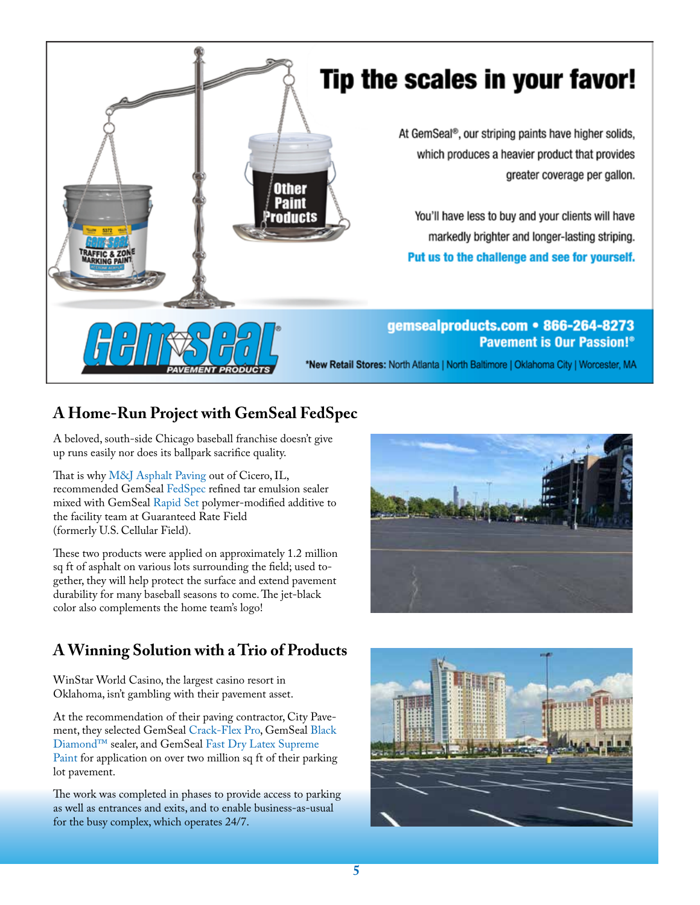

## Tip the scales in your favor!

At GemSeal®, our striping paints have higher solids, which produces a heavier product that provides greater coverage per gallon.

You'll have less to buy and your clients will have markedly brighter and longer-lasting striping. Put us to the challenge and see for yourself.

#### gemsealproducts.com • 866-264-8273 **Pavement is Our Passion!**®

\*New Retail Stores: North Atlanta | North Baltimore | Oklahoma City | Worcester, MA

### **A Home-Run Project with GemSeal FedSpec**

A beloved, south-side Chicago baseball franchise doesn't give up runs easily nor does its ballpark sacrifice quality.

That is why [M&J Asphalt Paving](http://mjasphaltpaving.com/) out of Cicero, IL, recommended GemSeal [FedSpec](https://www.gemsealproducts.com/products/fed-spec-fed-spec-hs/) refined tar emulsion sealer mixed with GemSeal [Rapid Set](https://www.gemsealproducts.com/products/rapid-set/) polymer-modified additive to the facility team at Guaranteed Rate Field (formerly U.S. Cellular Field).

These two products were applied on approximately 1.2 million sq ft of asphalt on various lots surrounding the field; used together, they will help protect the surface and extend pavement durability for many baseball seasons to come. The jet-black color also complements the home team's logo!

### **A Winning Solution with a Trio of Products**

WinStar World Casino, the largest casino resort in Oklahoma, isn't gambling with their pavement asset.

At the recommendation of their paving contractor, City Pavement, they selected GemSeal [Crack-Flex Pro,](https://www.gemsealproducts.com/products/crack-flex-pro/) GemSeal [Black](https://www.gemsealproducts.com/products/black-diamond/)  [Diamond™](https://www.gemsealproducts.com/products/black-diamond/) sealer, and GemSeal [Fast Dry Latex Supreme](https://www.gemsealproducts.com/products/fast-dry-latex-supreme-traffic-paint/)  [Paint](https://www.gemsealproducts.com/products/fast-dry-latex-supreme-traffic-paint/) for application on over two million sq ft of their parking lot pavement.

The work was completed in phases to provide access to parking as well as entrances and exits, and to enable business-as-usual for the busy complex, which operates 24/7.



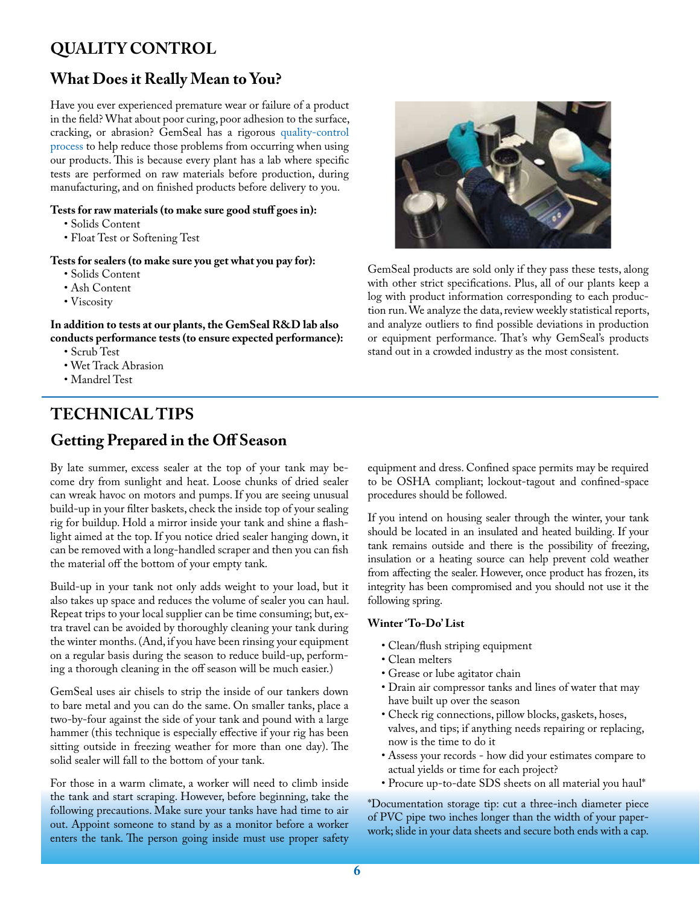### **QUALITY CONTROL**

### **What Does it Really Mean to You?**

Have you ever experienced premature wear or failure of a product in the field? What about poor curing, poor adhesion to the surface, cracking, or abrasion? GemSeal has a rigorous [quality-control](https://www.gemsealproducts.com/about-us/quality-control/) [process](https://www.gemsealproducts.com/about-us/quality-control/) to help reduce those problems from occurring when using our products. This is because every plant has a lab where specific tests are performed on raw materials before production, during manufacturing, and on finished products before delivery to you.

#### **Tests for raw materials (to make sure good stuff goes in):**

- Solids Content
- Float Test or Softening Test

#### **Tests for sealers (to make sure you get what you pay for):**

- Solids Content
- Ash Content
- Viscosity

**In addition to tests at our plants, the GemSeal R&D lab also conducts performance tests (to ensure expected performance):**

- Scrub Test
- Wet Track Abrasion
- Mandrel Test

### **TECHNICAL TIPS Getting Prepared in the Off Season**

By late summer, excess sealer at the top of your tank may become dry from sunlight and heat. Loose chunks of dried sealer can wreak havoc on motors and pumps. If you are seeing unusual build-up in your filter baskets, check the inside top of your sealing rig for buildup. Hold a mirror inside your tank and shine a flashlight aimed at the top. If you notice dried sealer hanging down, it can be removed with a long-handled scraper and then you can fish the material off the bottom of your empty tank.

Build-up in your tank not only adds weight to your load, but it also takes up space and reduces the volume of sealer you can haul. Repeat trips to your local supplier can be time consuming; but, extra travel can be avoided by thoroughly cleaning your tank during the winter months. (And, if you have been rinsing your equipment on a regular basis during the season to reduce build-up, performing a thorough cleaning in the off season will be much easier.)

GemSeal uses air chisels to strip the inside of our tankers down to bare metal and you can do the same. On smaller tanks, place a two-by-four against the side of your tank and pound with a large hammer (this technique is especially effective if your rig has been sitting outside in freezing weather for more than one day). The solid sealer will fall to the bottom of your tank.

For those in a warm climate, a worker will need to climb inside the tank and start scraping. However, before beginning, take the following precautions. Make sure your tanks have had time to air out. Appoint someone to stand by as a monitor before a worker enters the tank. The person going inside must use proper safety



GemSeal products are sold only if they pass these tests, along with other strict specifications. Plus, all of our plants keep a log with product information corresponding to each production run. We analyze the data, review weekly statistical reports, and analyze outliers to find possible deviations in production or equipment performance. That's why GemSeal's products stand out in a crowded industry as the most consistent.

equipment and dress. Confined space permits may be required to be OSHA compliant; lockout-tagout and confined-space procedures should be followed.

If you intend on housing sealer through the winter, your tank should be located in an insulated and heated building. If your tank remains outside and there is the possibility of freezing, insulation or a heating source can help prevent cold weather from affecting the sealer. However, once product has frozen, its integrity has been compromised and you should not use it the following spring.

#### **Winter 'To-Do' List**

- Clean/flush striping equipment
- Clean melters
- Grease or lube agitator chain
- Drain air compressor tanks and lines of water that may have built up over the season
- Check rig connections, pillow blocks, gaskets, hoses, valves, and tips; if anything needs repairing or replacing, now is the time to do it
- Assess your records how did your estimates compare to actual yields or time for each project?
- Procure up-to-date SDS sheets on all material you haul\*

\*Documentation storage tip: cut a three-inch diameter piece of PVC pipe two inches longer than the width of your paperwork; slide in your data sheets and secure both ends with a cap.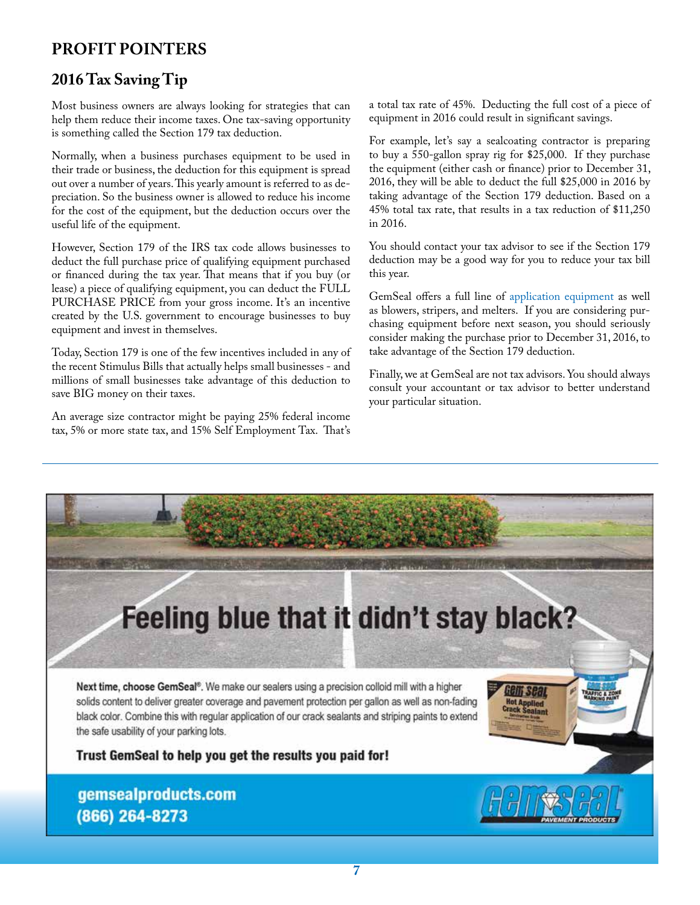### **PROFIT POINTERS**

### **2016 Tax Saving Tip**

Most business owners are always looking for strategies that can help them reduce their income taxes. One tax-saving opportunity is something called the Section 179 tax deduction.

Normally, when a business purchases equipment to be used in their trade or business, the deduction for this equipment is spread out over a number of years. This yearly amount is referred to as depreciation. So the business owner is allowed to reduce his income for the cost of the equipment, but the deduction occurs over the useful life of the equipment.

However, Section 179 of the IRS tax code allows businesses to deduct the full purchase price of qualifying equipment purchased or financed during the tax year. That means that if you buy (or lease) a piece of qualifying equipment, you can deduct the FULL PURCHASE PRICE from your gross income. It's an incentive created by the U.S. government to encourage businesses to buy equipment and invest in themselves.

Today, Section 179 is one of the few incentives included in any of the recent Stimulus Bills that actually helps small businesses - and millions of small businesses take advantage of this deduction to save BIG money on their taxes.

An average size contractor might be paying 25% federal income tax, 5% or more state tax, and 15% Self Employment Tax. That's

a total tax rate of 45%. Deducting the full cost of a piece of equipment in 2016 could result in significant savings.

For example, let's say a sealcoating contractor is preparing to buy a 550-gallon spray rig for \$25,000. If they purchase the equipment (either cash or finance) prior to December 31, 2016, they will be able to deduct the full \$25,000 in 2016 by taking advantage of the Section 179 deduction. Based on a 45% total tax rate, that results in a tax reduction of \$11,250 in 2016.

You should contact your tax advisor to see if the Section 179 deduction may be a good way for you to reduce your tax bill this year.

GemSeal offers a full line of [application equipment](https://www.gemsealproducts.com/product-category/tools/) as well as blowers, stripers, and melters. If you are considering purchasing equipment before next season, you should seriously consider making the purchase prior to December 31, 2016, to take advantage of the Section 179 deduction.

Finally, we at GemSeal are not tax advisors. You should always consult your accountant or tax advisor to better understand your particular situation.